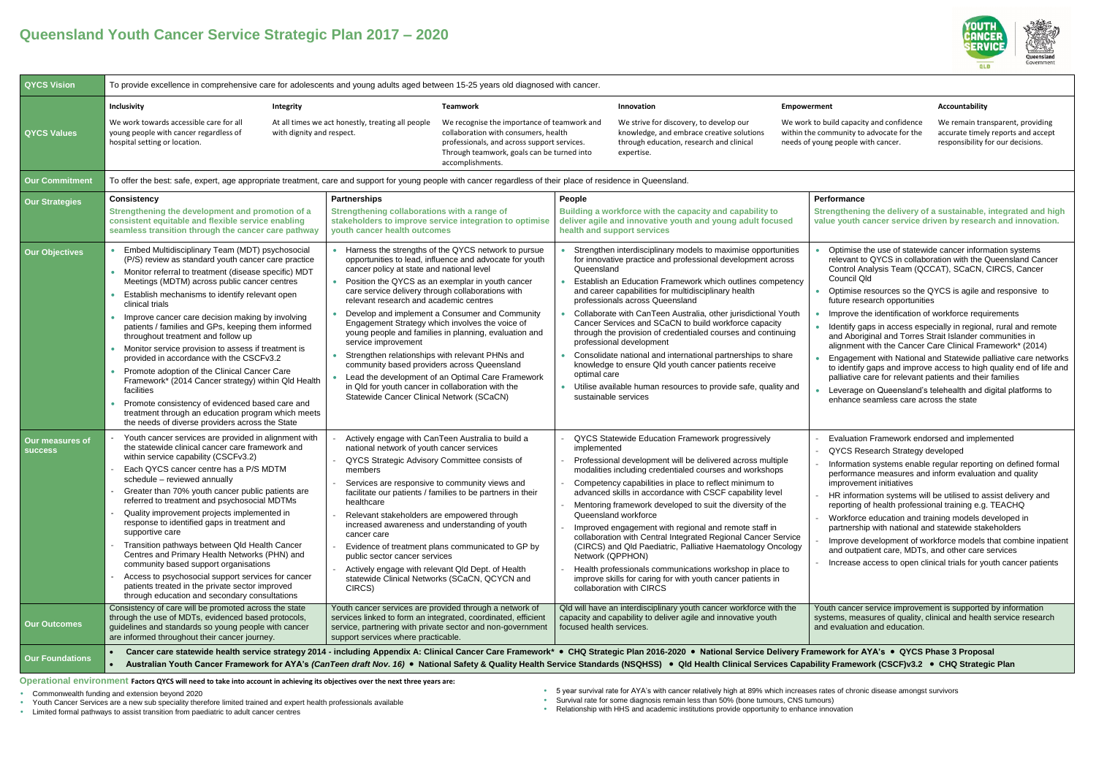## **Accountability**

We remain transparent, providing accurate timely reports and accept responsibility for our decisions.

## **Performance**

**Strengthening the delivery of a sustainable, integrated and high value youth cancer service driven by research and innovation.**

| <b>QYCS Vision</b>                            | To provide excellence in comprehensive care for adolescents and young adults aged between 15-25 years old diagnosed with cancer.                                                                                                                                                                                                                                                                                                                                                                                                                                                                                                                                                                                                                                                                                              |                  |                                                                                                                                                                                                                                                                                                                                                                                                                                                                                                       |                                                                                                                                                                                                                                                                             |                                                    |                                                                                                                                                                                                                                                                                                                                                                                                                                                                                                                                                                                                                                                                                                                                                                                                             |                                                          |  |  |
|-----------------------------------------------|-------------------------------------------------------------------------------------------------------------------------------------------------------------------------------------------------------------------------------------------------------------------------------------------------------------------------------------------------------------------------------------------------------------------------------------------------------------------------------------------------------------------------------------------------------------------------------------------------------------------------------------------------------------------------------------------------------------------------------------------------------------------------------------------------------------------------------|------------------|-------------------------------------------------------------------------------------------------------------------------------------------------------------------------------------------------------------------------------------------------------------------------------------------------------------------------------------------------------------------------------------------------------------------------------------------------------------------------------------------------------|-----------------------------------------------------------------------------------------------------------------------------------------------------------------------------------------------------------------------------------------------------------------------------|----------------------------------------------------|-------------------------------------------------------------------------------------------------------------------------------------------------------------------------------------------------------------------------------------------------------------------------------------------------------------------------------------------------------------------------------------------------------------------------------------------------------------------------------------------------------------------------------------------------------------------------------------------------------------------------------------------------------------------------------------------------------------------------------------------------------------------------------------------------------------|----------------------------------------------------------|--|--|
|                                               | Inclusivity                                                                                                                                                                                                                                                                                                                                                                                                                                                                                                                                                                                                                                                                                                                                                                                                                   | <b>Integrity</b> |                                                                                                                                                                                                                                                                                                                                                                                                                                                                                                       | <b>Teamwork</b>                                                                                                                                                                                                                                                             |                                                    | Innovation                                                                                                                                                                                                                                                                                                                                                                                                                                                                                                                                                                                                                                                                                                                                                                                                  | <b>Empowerment</b>                                       |  |  |
| <b>QYCS Values</b>                            | We work towards accessible care for all<br>At all times we act honestly, treating all people<br>with dignity and respect.<br>young people with cancer regardless of<br>hospital setting or location.                                                                                                                                                                                                                                                                                                                                                                                                                                                                                                                                                                                                                          |                  |                                                                                                                                                                                                                                                                                                                                                                                                                                                                                                       | We recognise the importance of teamwork and<br>collaboration with consumers, health<br>professionals, and across support services.<br>Through teamwork, goals can be turned into<br>accomplishments.                                                                        |                                                    | We strive for discovery, to develop our<br>We work to bu<br>knowledge, and embrace creative solutions<br>within the com<br>through education, research and clinical<br>needs of young<br>expertise.                                                                                                                                                                                                                                                                                                                                                                                                                                                                                                                                                                                                         |                                                          |  |  |
| <b>Our Commitment</b>                         | To offer the best: safe, expert, age appropriate treatment, care and support for young people with cancer regardless of their place of residence in Queensland.                                                                                                                                                                                                                                                                                                                                                                                                                                                                                                                                                                                                                                                               |                  |                                                                                                                                                                                                                                                                                                                                                                                                                                                                                                       |                                                                                                                                                                                                                                                                             |                                                    |                                                                                                                                                                                                                                                                                                                                                                                                                                                                                                                                                                                                                                                                                                                                                                                                             |                                                          |  |  |
| <b>Our Strategies</b>                         | <b>Consistency</b><br>Strengthening the development and promotion of a<br>consistent equitable and flexible service enabling<br>seamless transition through the cancer care pathway<br>Embed Multidisciplinary Team (MDT) psychosocial                                                                                                                                                                                                                                                                                                                                                                                                                                                                                                                                                                                        |                  | <b>Partnerships</b><br>Strengthening collaborations with a range of<br>youth cancer health outcomes                                                                                                                                                                                                                                                                                                                                                                                                   | stakeholders to improve service integration to optimise<br>• Harness the strengths of the QYCS network to pursue                                                                                                                                                            | People<br>health and support services              | Building a workforce with the capacity and capability to<br>deliver agile and innovative youth and young adult focused<br>Strengthen interdisciplinary models to maximise opportunities                                                                                                                                                                                                                                                                                                                                                                                                                                                                                                                                                                                                                     | Perf<br><b>Strei</b><br>valu                             |  |  |
| <b>Our Objectives</b>                         | (P/S) review as standard youth cancer care practice<br>Monitor referral to treatment (disease specific) MDT<br>$\bullet$<br>Meetings (MDTM) across public cancer centres<br>Establish mechanisms to identify relevant open<br>clinical trials<br>Improve cancer care decision making by involving<br>$\bullet$<br>patients / families and GPs, keeping them informed<br>throughout treatment and follow up<br>Monitor service provision to assess if treatment is<br>provided in accordance with the CSCFv3.2<br>Promote adoption of the Clinical Cancer Care<br>Framework* (2014 Cancer strategy) within Qld Health<br>facilities<br>Promote consistency of evidenced based care and<br>$\bullet$<br>treatment through an education program which meets<br>the needs of diverse providers across the State                   |                  | cancer policy at state and national level<br>care service delivery through collaborations with<br>relevant research and academic centres<br>Engagement Strategy which involves the voice of<br>service improvement<br>Strengthen relationships with relevant PHNs and<br>community based providers across Queensland<br>in Qld for youth cancer in collaboration with the<br>Statewide Cancer Clinical Network (SCaCN)                                                                                | opportunities to lead, influence and advocate for youth<br>Position the QYCS as an exemplar in youth cancer<br>Develop and implement a Consumer and Community<br>young people and families in planning, evaluation and<br>Lead the development of an Optimal Care Framework | Queensland<br>optimal care<br>sustainable services | for innovative practice and professional development across<br>Establish an Education Framework which outlines competency<br>and career capabilities for multidisciplinary health<br>professionals across Queensland<br>Collaborate with CanTeen Australia, other jurisdictional Youth<br>Cancer Services and SCaCN to build workforce capacity<br>through the provision of credentialed courses and continuing<br>professional development<br>Consolidate national and international partnerships to share<br>knowledge to ensure Qld youth cancer patients receive<br>Utilise available human resources to provide safe, quality and                                                                                                                                                                      | г<br>$\bullet$<br>$\bullet$                              |  |  |
| Our measures of<br><b>SUCCESS</b>             | Youth cancer services are provided in alignment with<br>the statewide clinical cancer care framework and<br>within service capability (CSCFv3.2)<br>Each QYCS cancer centre has a P/S MDTM<br>schedule - reviewed annually<br>Greater than 70% youth cancer public patients are<br>referred to treatment and psychosocial MDTMs<br>Quality improvement projects implemented in<br>response to identified gaps in treatment and<br>supportive care<br>Transition pathways between Qld Health Cancer<br>Centres and Primary Health Networks (PHN) and<br>community based support organisations<br>Access to psychosocial support services for cancer<br>patients treated in the private sector improved<br>through education and secondary consultations<br>Consistency of care will be promoted across the state               |                  | Actively engage with CanTeen Australia to build a<br>national network of youth cancer services<br>QYCS Strategic Advisory Committee consists of<br>members<br>Services are responsive to community views and<br>healthcare<br>Relevant stakeholders are empowered through<br>increased awareness and understanding of youth<br>cancer care<br>public sector cancer services<br>Actively engage with relevant Qld Dept. of Health<br>CIRCS)<br>Youth cancer services are provided through a network of | facilitate our patients / families to be partners in their<br>Evidence of treatment plans communicated to GP by<br>statewide Clinical Networks (SCaCN, QCYCN and                                                                                                            | implemented<br>Network (QPPHON)                    | QYCS Statewide Education Framework progressively<br>Professional development will be delivered across multiple<br>modalities including credentialed courses and workshops<br>Competency capabilities in place to reflect minimum to<br>advanced skills in accordance with CSCF capability level<br>Mentoring framework developed to suit the diversity of the<br>Queensland workforce<br>Improved engagement with regional and remote staff in<br>collaboration with Central Integrated Regional Cancer Service<br>(CIRCS) and Qld Paediatric, Palliative Haematology Oncology<br>Health professionals communications workshop in place to<br>improve skills for caring for with youth cancer patients in<br>collaboration with CIRCS<br>Qld will have an interdisciplinary youth cancer workforce with the | $\sim$<br>- F<br>-V<br>$ \,$<br>- 1<br>ĉ<br>$-1$<br>Yout |  |  |
| <b>Our Outcomes</b><br><b>Our Foundations</b> | through the use of MDTs, evidenced based protocols,<br>services linked to form an integrated, coordinated, efficient<br>capacity and capability to deliver agile and innovative youth<br>syste<br>guidelines and standards so young people with cancer<br>service, partnering with private sector and non-government<br>focused health services.<br>and o<br>are informed throughout their cancer journey.<br>support services where practicable.<br>Cancer care statewide health service strategy 2014 - including Appendix A: Clinical Cancer Care Framework* . CHQ Strategic Plan 2016-2020 . National Service Delivery Framew<br>Australian Youth Cancer Framework for AYA's (CanTeen draft Nov. 16) . National Safety & Quality Health Service Standards (NSQHSS) . Qld Health Clinical Services Capability<br>$\bullet$ |                  |                                                                                                                                                                                                                                                                                                                                                                                                                                                                                                       |                                                                                                                                                                                                                                                                             |                                                    |                                                                                                                                                                                                                                                                                                                                                                                                                                                                                                                                                                                                                                                                                                                                                                                                             |                                                          |  |  |

- Optimise the use of statewide cancer information systems relevant to QYCS in collaboration with the Queensland Cancer Control Analysis Team (QCCAT), SCaCN, CIRCS, Cancer Council Qld
- Optimise resources so the QYCS is agile and responsive to future research opportunities
- Improve the identification of workforce requirements
- Identify gaps in access especially in regional, rural and remote and Aboriginal and Torres Strait Islander communities in alignment with the Cancer Care Clinical Framework\* (2014)
- Engagement with National and Statewide palliative care networks to identify gaps and improve access to high quality end of life and palliative care for relevant patients and their families
- Leverage on Queensland's telehealth and digital platforms to enhance seamless care across the state

- Evaluation Framework endorsed and implemented - QYCS Research Strategy developed

- Information systems enable regular reporting on defined formal performance measures and inform evaluation and quality improvement initiatives
- HR information systems will be utilised to assist delivery and reporting of health professional training e.g. TEACHQ
- Workforce education and training models developed in partnership with national and statewide stakeholders
- Improve development of workforce models that combine inpatient and outpatient care, MDTs, and other care services
- Increase access to open clinical trials for youth cancer patients

th cancer service improvement is supported by information ems, measures of quality, clinical and health service research evaluation and education.

ork for AYA's • QYCS Phase 3 Proposal Framework (CSCF)v3.2 • CHQ Strategic Plan

**Operational environment Factors QYCS will need to take into account in achieving its objectives over the next three years are:**

• Commonwealth funding and extension beyond 2020

• Youth Cancer Services are a new sub speciality therefore limited trained and expert health professionals available

• Limited formal pathways to assist transition from paediatric to adult cancer centres

- 5 year survival rate for AYA's with cancer relatively high at 89% which increases rates of chronic disease amongst survivors
- Survival rate for some diagnosis remain less than 50% (bone tumours, CNS tumours)
- Relationship with HHS and academic institutions provide opportunity to enhance innovation





uild capacity and confidence nmunity to advocate for the g people with cancer.